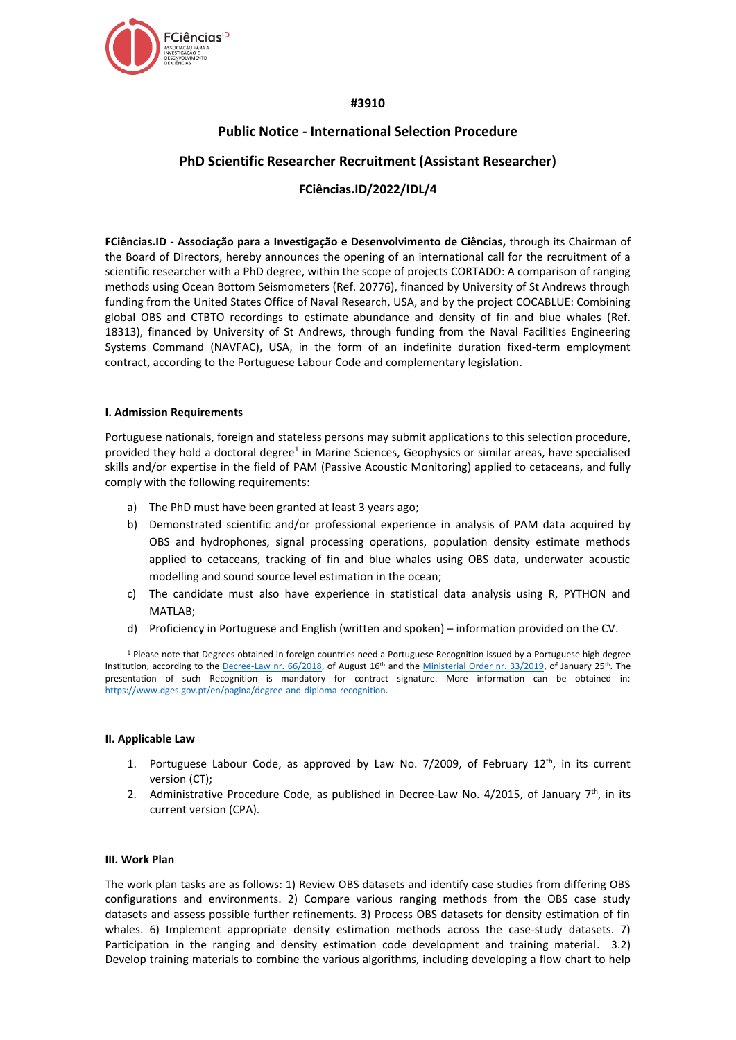

# **#3910**

# **Public Notice - International Selection Procedure PhD Scientific Researcher Recruitment (Assistant Researcher)**

# **FCiências.ID/2022/IDL/4**

**FCiências.ID - Associação para a Investigação e Desenvolvimento de Ciências,** through its Chairman of the Board of Directors, hereby announces the opening of an international call for the recruitment of a scientific researcher with a PhD degree, within the scope of projects CORTADO: A comparison of ranging methods using Ocean Bottom Seismometers (Ref. 20776), financed by University of St Andrews through funding from the United States Office of Naval Research, USA, and by the project COCABLUE: Combining global OBS and CTBTO recordings to estimate abundance and density of fin and blue whales (Ref. 18313), financed by University of St Andrews, through funding from the Naval Facilities Engineering Systems Command (NAVFAC), USA, in the form of an indefinite duration fixed-term employment contract, according to the Portuguese Labour Code and complementary legislation.

# **I. Admission Requirements**

Portuguese nationals, foreign and stateless persons may submit applications to this selection procedure, provided they hold a doctoral degree<sup>1</sup> in Marine Sciences, Geophysics or similar areas, have specialised skills and/or expertise in the field of PAM (Passive Acoustic Monitoring) applied to cetaceans, and fully comply with the following requirements:

- a) The PhD must have been granted at least 3 years ago;
- b) Demonstrated scientific and/or professional experience in analysis of PAM data acquired by OBS and hydrophones, signal processing operations, population density estimate methods applied to cetaceans, tracking of fin and blue whales using OBS data, underwater acoustic modelling and sound source level estimation in the ocean;
- c) The candidate must also have experience in statistical data analysis using R, PYTHON and MATLAB;
- d) Proficiency in Portuguese and English (written and spoken) information provided on the CV.

<sup>1</sup> Please note that Degrees obtained in foreign countries need a Portuguese Recognition issued by a Portuguese high degree Institution, according to the [Decree-Law nr. 66/2018,](https://dre.pt/web/guest/pesquisa/-/search/116068880/details/maximized?res=en) of August 16<sup>th</sup> and the [Ministerial Order nr. 33/2019,](https://dre.pt/web/guest/pesquisa/-/search/118484592/details/normal?q=portaria+33%2F2019) of January 25<sup>th</sup>. The presentation of such Recognition is mandatory for contract signature. More information can be obtained in: [https://www.dges.gov.pt/en/pagina/degree-and-diploma-recognition.](https://www.dges.gov.pt/en/pagina/degree-and-diploma-recognition)

# **II. Applicable Law**

- 1. Portuguese Labour Code, as approved by Law No.  $7/2009$ , of February  $12<sup>th</sup>$ , in its current version (CT);
- 2. Administrative Procedure Code, as published in Decree-Law No. 4/2015, of January  $7<sup>th</sup>$ , in its current version (CPA).

# **III. Work Plan**

The work plan tasks are as follows: 1) Review OBS datasets and identify case studies from differing OBS configurations and environments. 2) Compare various ranging methods from the OBS case study datasets and assess possible further refinements. 3) Process OBS datasets for density estimation of fin whales. 6) Implement appropriate density estimation methods across the case-study datasets. 7) Participation in the ranging and density estimation code development and training material. 3.2) Develop training materials to combine the various algorithms, including developing a flow chart to help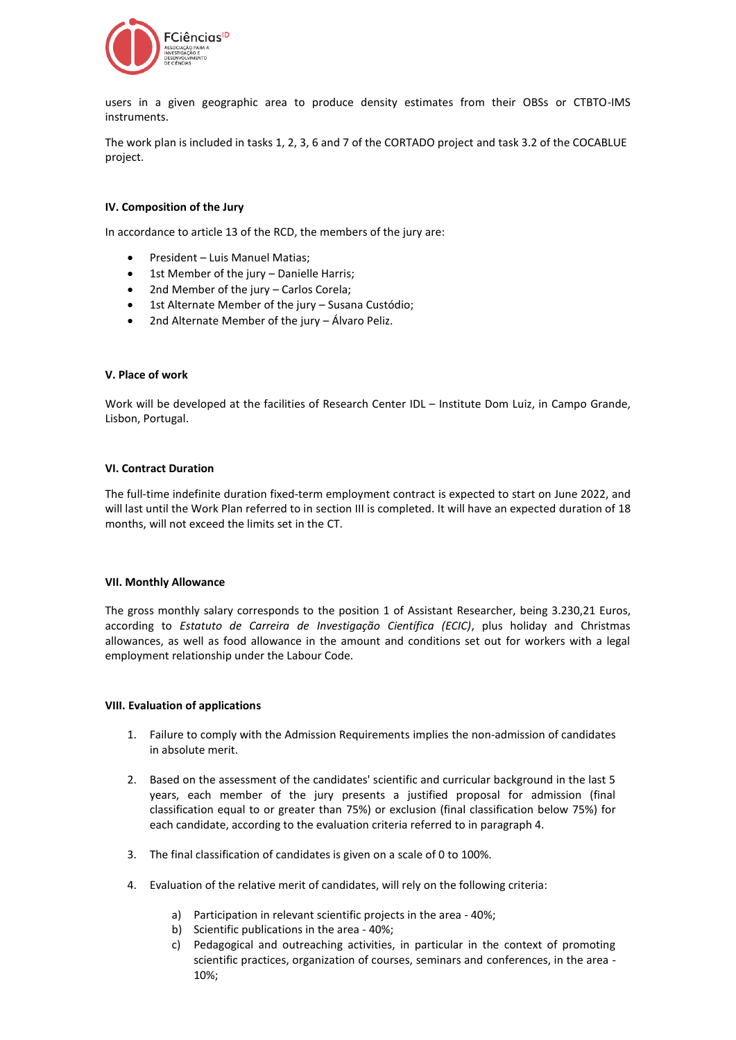

users in a given geographic area to produce density estimates from their OBSs or CTBTO-IMS instruments.

The work plan is included in tasks 1, 2, 3, 6 and 7 of the CORTADO project and task 3.2 of the COCABLUE project.

# **IV. Composition of the Jury**

In accordance to article 13 of the RCD, the members of the jury are:

- President Luis Manuel Matias;
- 1st Member of the jury Danielle Harris;
- 2nd Member of the jury Carlos Corela;
- 1st Alternate Member of the jury Susana Custódio;
- 2nd Alternate Member of the jury Álvaro Peliz.

#### **V. Place of work**

Work will be developed at the facilities of Research Center IDL – Institute Dom Luiz, in Campo Grande, Lisbon, Portugal.

#### **VI. Contract Duration**

The full-time indefinite duration fixed-term employment contract is expected to start on June 2022, and will last until the Work Plan referred to in section III is completed. It will have an expected duration of 18 months, will not exceed the limits set in the CT.

#### **VII. Monthly Allowance**

The gross monthly salary corresponds to the position 1 of Assistant Researcher, being 3.230,21 Euros, according to *Estatuto de Carreira de Investigação Científica (ECIC)*, plus holiday and Christmas allowances, as well as food allowance in the amount and conditions set out for workers with a legal employment relationship under the Labour Code.

# **VIII. Evaluation of applications**

- 1. Failure to comply with the Admission Requirements implies the non-admission of candidates in absolute merit.
- 2. Based on the assessment of the candidates' scientific and curricular background in the last 5 years, each member of the jury presents a justified proposal for admission (final classification equal to or greater than 75%) or exclusion (final classification below 75%) for each candidate, according to the evaluation criteria referred to in paragraph 4.
- 3. The final classification of candidates is given on a scale of 0 to 100%.
- 4. Evaluation of the relative merit of candidates, will rely on the following criteria:
	- a) Participation in relevant scientific projects in the area 40%;
	- b) Scientific publications in the area 40%;
	- c) Pedagogical and outreaching activities, in particular in the context of promoting scientific practices, organization of courses, seminars and conferences, in the area - 10%;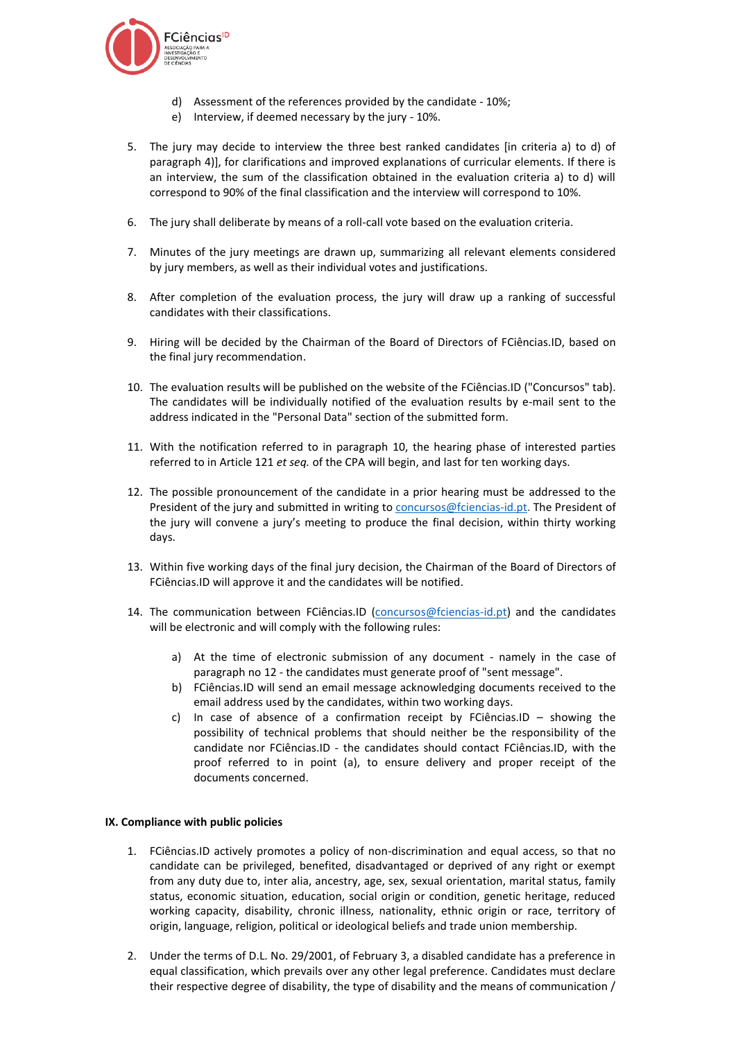

- d) Assessment of the references provided by the candidate 10%;
- e) Interview, if deemed necessary by the jury 10%.
- 5. The jury may decide to interview the three best ranked candidates [in criteria a) to d) of paragraph 4)], for clarifications and improved explanations of curricular elements. If there is an interview, the sum of the classification obtained in the evaluation criteria a) to d) will correspond to 90% of the final classification and the interview will correspond to 10%.
- 6. The jury shall deliberate by means of a roll-call vote based on the evaluation criteria.
- 7. Minutes of the jury meetings are drawn up, summarizing all relevant elements considered by jury members, as well as their individual votes and justifications.
- 8. After completion of the evaluation process, the jury will draw up a ranking of successful candidates with their classifications.
- 9. Hiring will be decided by the Chairman of the Board of Directors of FCiências.ID, based on the final jury recommendation.
- 10. The evaluation results will be published on the website of the FCiências.ID ("Concursos" tab). The candidates will be individually notified of the evaluation results by e-mail sent to the address indicated in the "Personal Data" section of the submitted form.
- 11. With the notification referred to in paragraph 10, the hearing phase of interested parties referred to in Article 121 *et seq.* of the CPA will begin, and last for ten working days.
- 12. The possible pronouncement of the candidate in a prior hearing must be addressed to the President of the jury and submitted in writing to [concursos@fciencias-id.pt.](mailto:concursos@fciencias-id.pt) The President of the jury will convene a jury's meeting to produce the final decision, within thirty working days.
- 13. Within five working days of the final jury decision, the Chairman of the Board of Directors of FCiências.ID will approve it and the candidates will be notified.
- 14. The communication between FCiências.ID [\(concursos@fciencias-id.pt\)](mailto:concursos@fciencias-id.pt) and the candidates will be electronic and will comply with the following rules:
	- a) At the time of electronic submission of any document namely in the case of paragraph no 12 - the candidates must generate proof of "sent message".
	- b) FCiências.ID will send an email message acknowledging documents received to the email address used by the candidates, within two working days.
	- c) In case of absence of a confirmation receipt by FCiências.ID  $-$  showing the possibility of technical problems that should neither be the responsibility of the candidate nor FCiências.ID - the candidates should contact FCiências.ID, with the proof referred to in point (a), to ensure delivery and proper receipt of the documents concerned.

# **IX. Compliance with public policies**

- 1. FCiências.ID actively promotes a policy of non-discrimination and equal access, so that no candidate can be privileged, benefited, disadvantaged or deprived of any right or exempt from any duty due to, inter alia, ancestry, age, sex, sexual orientation, marital status, family status, economic situation, education, social origin or condition, genetic heritage, reduced working capacity, disability, chronic illness, nationality, ethnic origin or race, territory of origin, language, religion, political or ideological beliefs and trade union membership.
- 2. Under the terms of D.L. No. 29/2001, of February 3, a disabled candidate has a preference in equal classification, which prevails over any other legal preference. Candidates must declare their respective degree of disability, the type of disability and the means of communication /